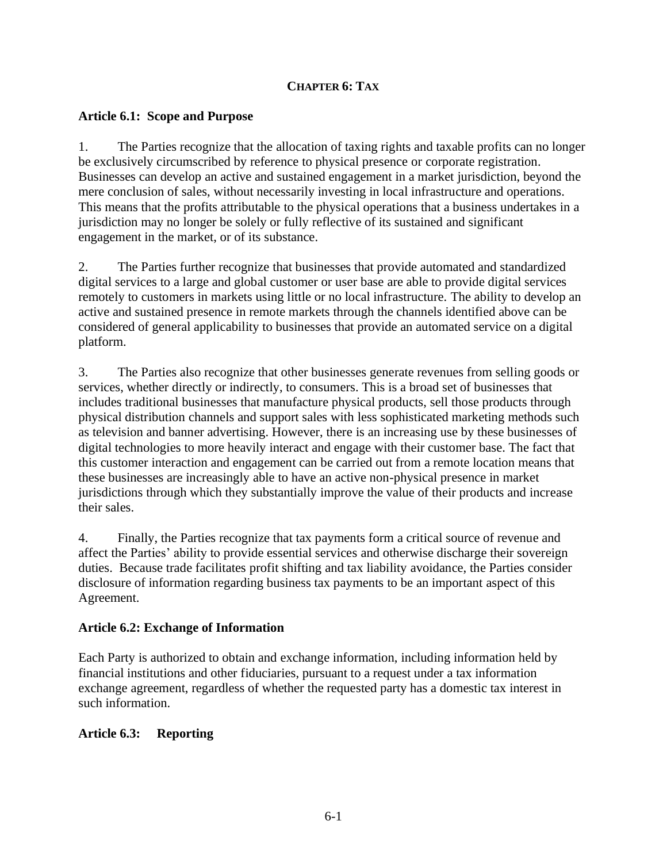### **CHAPTER 6: TAX**

### **Article 6.1: Scope and Purpose**

1. The Parties recognize that the allocation of taxing rights and taxable profits can no longer be exclusively circumscribed by reference to physical presence or corporate registration. Businesses can develop an active and sustained engagement in a market jurisdiction, beyond the mere conclusion of sales, without necessarily investing in local infrastructure and operations. This means that the profits attributable to the physical operations that a business undertakes in a jurisdiction may no longer be solely or fully reflective of its sustained and significant engagement in the market, or of its substance.

2. The Parties further recognize that businesses that provide automated and standardized digital services to a large and global customer or user base are able to provide digital services remotely to customers in markets using little or no local infrastructure. The ability to develop an active and sustained presence in remote markets through the channels identified above can be considered of general applicability to businesses that provide an automated service on a digital platform.

3. The Parties also recognize that other businesses generate revenues from selling goods or services, whether directly or indirectly, to consumers. This is a broad set of businesses that includes traditional businesses that manufacture physical products, sell those products through physical distribution channels and support sales with less sophisticated marketing methods such as television and banner advertising. However, there is an increasing use by these businesses of digital technologies to more heavily interact and engage with their customer base. The fact that this customer interaction and engagement can be carried out from a remote location means that these businesses are increasingly able to have an active non-physical presence in market jurisdictions through which they substantially improve the value of their products and increase their sales.

4. Finally, the Parties recognize that tax payments form a critical source of revenue and affect the Parties' ability to provide essential services and otherwise discharge their sovereign duties. Because trade facilitates profit shifting and tax liability avoidance, the Parties consider disclosure of information regarding business tax payments to be an important aspect of this Agreement.

### **Article 6.2: Exchange of Information**

Each Party is authorized to obtain and exchange information, including information held by financial institutions and other fiduciaries, pursuant to a request under a tax information exchange agreement, regardless of whether the requested party has a domestic tax interest in such information.

# **Article 6.3: Reporting**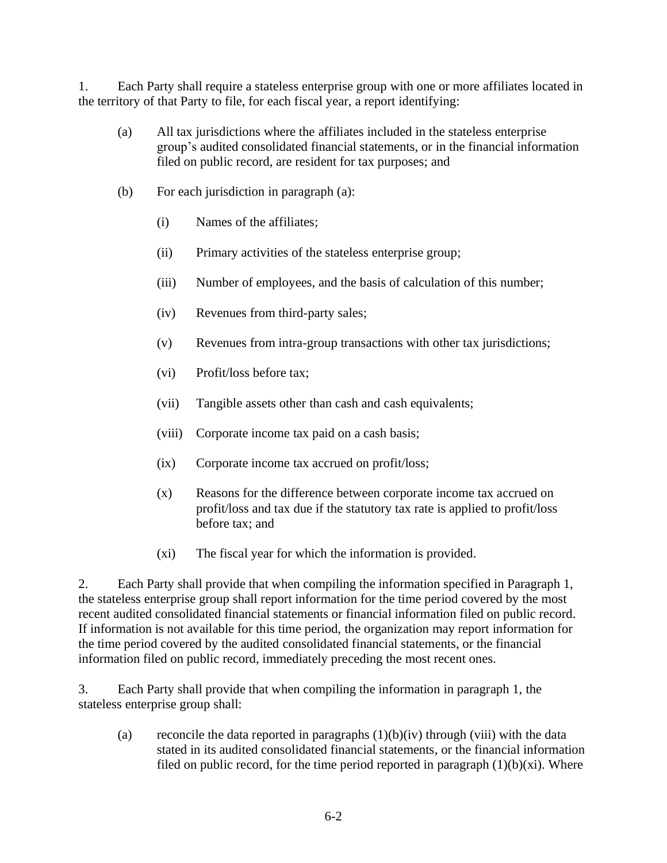1. Each Party shall require a stateless enterprise group with one or more affiliates located in the territory of that Party to file, for each fiscal year, a report identifying:

- (a) All tax jurisdictions where the affiliates included in the stateless enterprise group's audited consolidated financial statements, or in the financial information filed on public record, are resident for tax purposes; and
- (b) For each jurisdiction in paragraph (a):
	- (i) Names of the affiliates;
	- (ii) Primary activities of the stateless enterprise group;
	- (iii) Number of employees, and the basis of calculation of this number;
	- (iv) Revenues from third-party sales;
	- (v) Revenues from intra-group transactions with other tax jurisdictions;
	- (vi) Profit/loss before tax;
	- (vii) Tangible assets other than cash and cash equivalents;
	- (viii) Corporate income tax paid on a cash basis;
	- (ix) Corporate income tax accrued on profit/loss;
	- (x) Reasons for the difference between corporate income tax accrued on profit/loss and tax due if the statutory tax rate is applied to profit/loss before tax; and
	- (xi) The fiscal year for which the information is provided.

2. Each Party shall provide that when compiling the information specified in Paragraph 1, the stateless enterprise group shall report information for the time period covered by the most recent audited consolidated financial statements or financial information filed on public record. If information is not available for this time period, the organization may report information for the time period covered by the audited consolidated financial statements, or the financial information filed on public record, immediately preceding the most recent ones.

3. Each Party shall provide that when compiling the information in paragraph 1, the stateless enterprise group shall:

(a) reconcile the data reported in paragraphs  $(1)(b)(iv)$  through (viii) with the data stated in its audited consolidated financial statements, or the financial information filed on public record, for the time period reported in paragraph  $(1)(b)(xi)$ . Where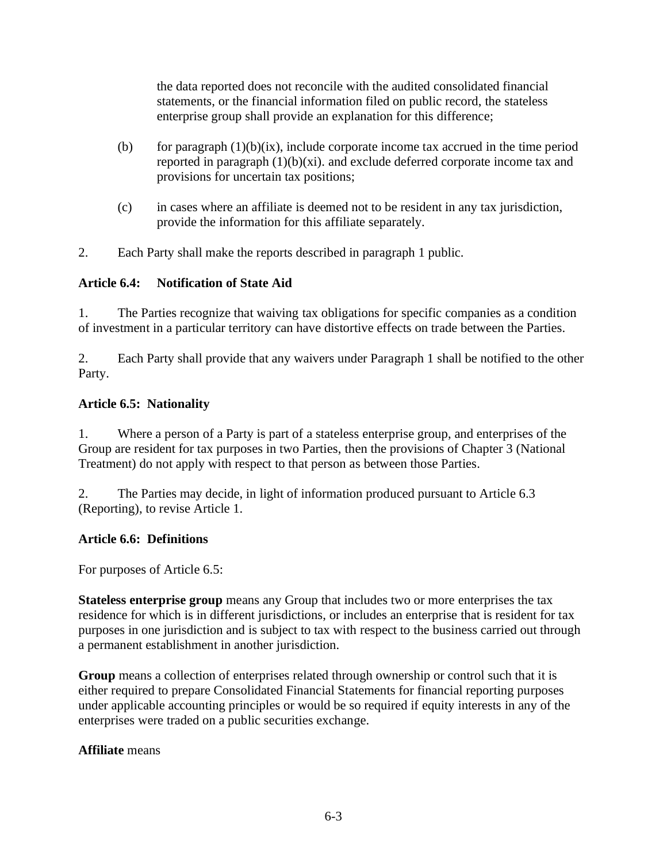the data reported does not reconcile with the audited consolidated financial statements, or the financial information filed on public record, the stateless enterprise group shall provide an explanation for this difference;

- (b) for paragraph  $(1)(b)(ix)$ , include corporate income tax accrued in the time period reported in paragraph  $(1)(b)(xi)$ . and exclude deferred corporate income tax and provisions for uncertain tax positions;
- (c) in cases where an affiliate is deemed not to be resident in any tax jurisdiction, provide the information for this affiliate separately.
- 2. Each Party shall make the reports described in paragraph 1 public.

# **Article 6.4: Notification of State Aid**

1. The Parties recognize that waiving tax obligations for specific companies as a condition of investment in a particular territory can have distortive effects on trade between the Parties.

2. Each Party shall provide that any waivers under Paragraph 1 shall be notified to the other Party.

### **Article 6.5: Nationality**

1. Where a person of a Party is part of a stateless enterprise group, and enterprises of the Group are resident for tax purposes in two Parties, then the provisions of Chapter 3 (National Treatment) do not apply with respect to that person as between those Parties.

2. The Parties may decide, in light of information produced pursuant to Article 6.3 (Reporting), to revise Article 1.

### **Article 6.6: Definitions**

For purposes of Article 6.5:

**Stateless enterprise group** means any Group that includes two or more enterprises the tax residence for which is in different jurisdictions, or includes an enterprise that is resident for tax purposes in one jurisdiction and is subject to tax with respect to the business carried out through a permanent establishment in another jurisdiction.

**Group** means a collection of enterprises related through ownership or control such that it is either required to prepare Consolidated Financial Statements for financial reporting purposes under applicable accounting principles or would be so required if equity interests in any of the enterprises were traded on a public securities exchange.

### **Affiliate** means